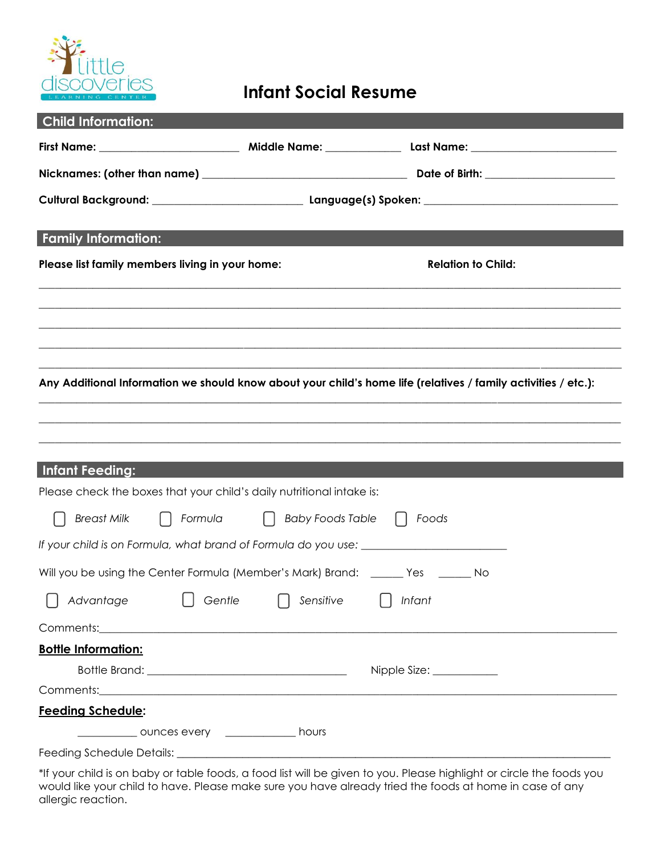

## **Infant Social Resume**

| <b>Child Information:</b>                       |                                                                                                                                                                                                                                    |                                                                                                                       |
|-------------------------------------------------|------------------------------------------------------------------------------------------------------------------------------------------------------------------------------------------------------------------------------------|-----------------------------------------------------------------------------------------------------------------------|
|                                                 |                                                                                                                                                                                                                                    |                                                                                                                       |
|                                                 |                                                                                                                                                                                                                                    |                                                                                                                       |
|                                                 |                                                                                                                                                                                                                                    |                                                                                                                       |
| <b>Family Information:</b>                      |                                                                                                                                                                                                                                    |                                                                                                                       |
| Please list family members living in your home: |                                                                                                                                                                                                                                    | <b>Relation to Child:</b>                                                                                             |
|                                                 |                                                                                                                                                                                                                                    |                                                                                                                       |
|                                                 |                                                                                                                                                                                                                                    |                                                                                                                       |
|                                                 |                                                                                                                                                                                                                                    |                                                                                                                       |
|                                                 |                                                                                                                                                                                                                                    |                                                                                                                       |
|                                                 |                                                                                                                                                                                                                                    | Any Additional Information we should know about your child's home life (relatives / family activities / etc.):        |
|                                                 |                                                                                                                                                                                                                                    | <u> 1989 - Johann Stoff, deutscher Stoff, der Stoff, der Stoff, der Stoff, der Stoff, der Stoff, der Stoff, der S</u> |
|                                                 |                                                                                                                                                                                                                                    |                                                                                                                       |
|                                                 |                                                                                                                                                                                                                                    |                                                                                                                       |
| Infant Feeding:                                 |                                                                                                                                                                                                                                    |                                                                                                                       |
|                                                 | Please check the boxes that your child's daily nutritional intake is:                                                                                                                                                              |                                                                                                                       |
| <b>Breast Milk</b>                              | Formula   Baby Foods Table                                                                                                                                                                                                         | Foods<br>$\perp$                                                                                                      |
|                                                 | If your child is on Formula, what brand of Formula do you use:                                                                                                                                                                     |                                                                                                                       |
|                                                 | Will you be using the Center Formula (Member's Mark) Brand: ______ Yes _______ No                                                                                                                                                  |                                                                                                                       |
|                                                 | $\bigcap$ Advantage $\bigcap$ Gentle $\bigcap$ Sensitive $\bigcap$ Infant                                                                                                                                                          |                                                                                                                       |
|                                                 | Comments: 2008 2009 2009 2009 2009 2010 2020 2030 2040 2050 2061 2070 2081 2092 2009 2010 2010 2010 2010 2010                                                                                                                      |                                                                                                                       |
| <b>Bottle Information:</b>                      |                                                                                                                                                                                                                                    |                                                                                                                       |
|                                                 |                                                                                                                                                                                                                                    |                                                                                                                       |
|                                                 | Comments: <u>comments:</u> comments: comments: comments: comments: comments: comments: comments: comments: comments: comments: comments: comments: comments: comments: comments: comments: comments: comments: comments: comments: |                                                                                                                       |
| <b>Feeding Schedule:</b>                        |                                                                                                                                                                                                                                    |                                                                                                                       |
|                                                 |                                                                                                                                                                                                                                    |                                                                                                                       |
|                                                 | _____________ ounces every _______________ hours                                                                                                                                                                                   |                                                                                                                       |

\*If your child is on baby or table foods, a food list will be given to you. Please highlight or circle the foods you would like your child to have. Please make sure you have already tried the foods at home in case of any allergic reaction.